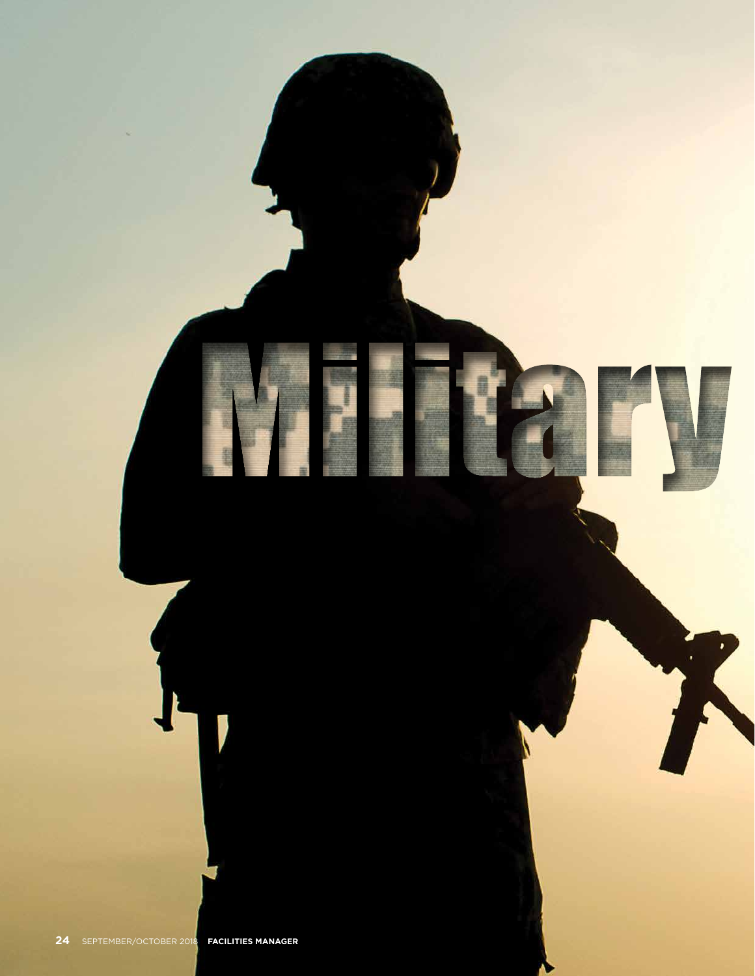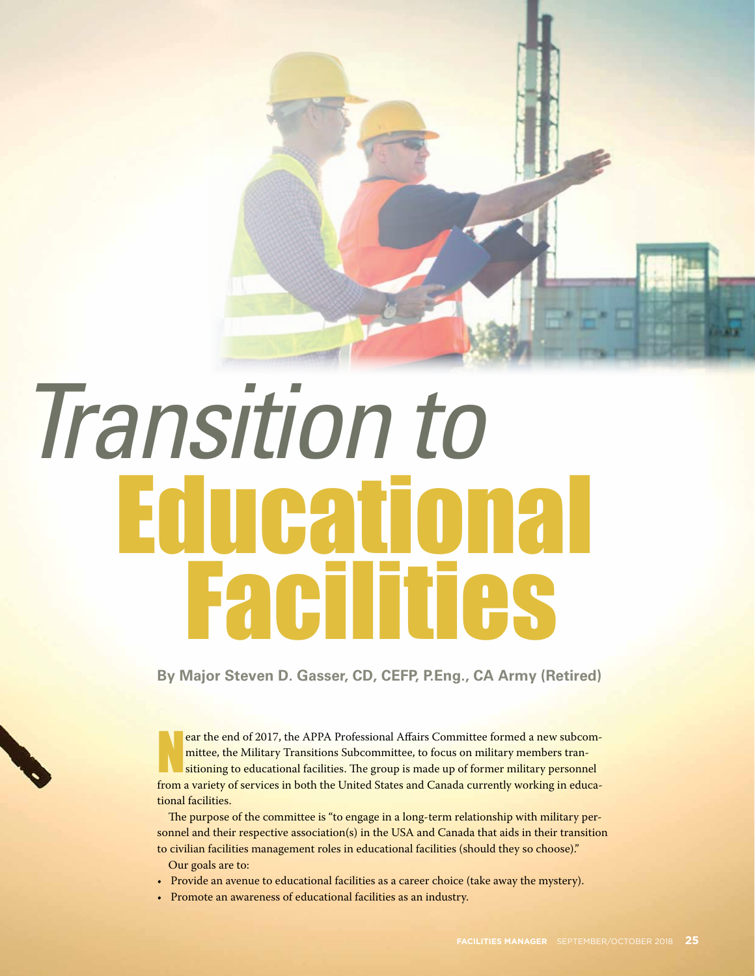

## Educational Facilities *Transition to*

**By Major Steven D. Gasser, CD, CEFP, P.Eng., CA Army (Retired)**

ear the end of 2017, the APPA Professional Affairs Committee formed a new subcommittee, the Military Transitions Subcommittee, to focus on military members transitioning to educational facilities. The group is made up of f ear the end of 2017, the APPA Professional Affairs Committee formed a new subcommittee, the Military Transitions Subcommittee, to focus on military members transitioning to educational facilities. The group is made up of former military personnel tional facilities.

The purpose of the committee is "to engage in a long-term relationship with military personnel and their respective association(s) in the USA and Canada that aids in their transition to civilian facilities management roles in educational facilities (should they so choose)."

- Our goals are to:
- Provide an avenue to educational facilities as a career choice (take away the mystery).
- Promote an awareness of educational facilities as an industry.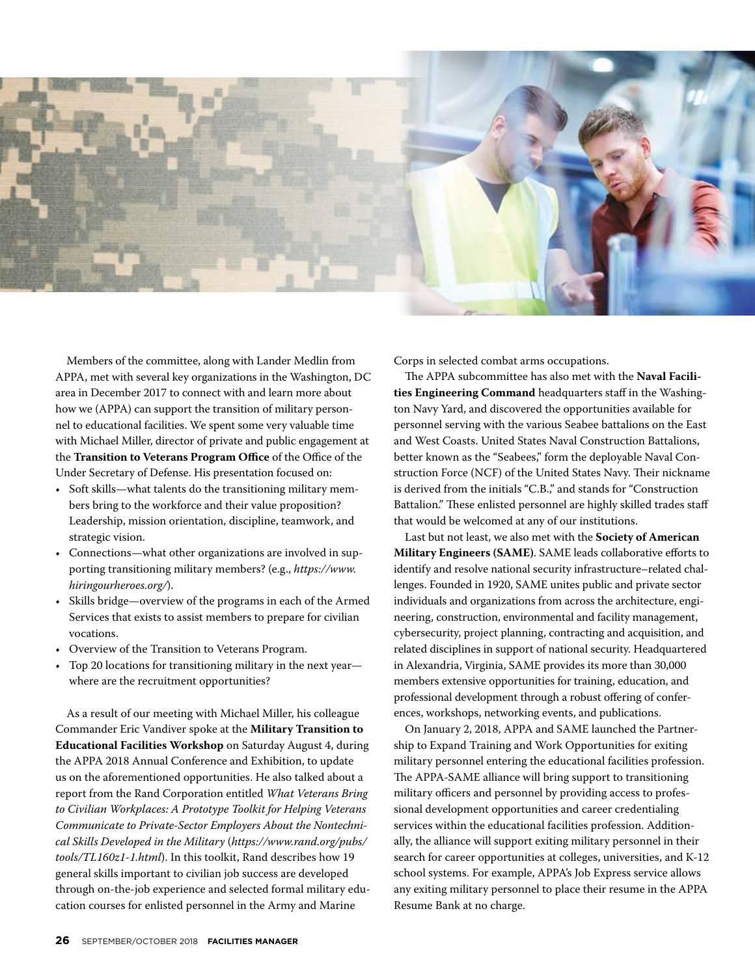

Members of the committee, along with Lander Medlin from APPA, met with several key organizations in the Washington, DC area in December 2017 to connect with and learn more about how we (APPA) can support the transition of military personnel to educational facilities. We spent some very valuable time with Michael Miller, director of private and public engagement at the **Transition to Veterans Program Office** of the Office of the Under Secretary of Defense. His presentation focused on:

- Soft skills—what talents do the transitioning military members bring to the workforce and their value proposition? Leadership, mission orientation, discipline, teamwork, and strategic vision.
- Connections—what other organizations are involved in supporting transitioning military members? (e.g., *https://www. hiringourheroes.org/*).
- Skills bridge—overview of the programs in each of the Armed Services that exists to assist members to prepare for civilian vocations.
- Overview of the Transition to Veterans Program.
- Top 20 locations for transitioning military in the next year where are the recruitment opportunities?

As a result of our meeting with Michael Miller, his colleague Commander Eric Vandiver spoke at the **Military Transition to Educational Facilities Workshop** on Saturday August 4, during the APPA 2018 Annual Conference and Exhibition, to update us on the aforementioned opportunities. He also talked about a report from the Rand Corporation entitled *What Veterans Bring to Civilian Workplaces: A Prototype Toolkit for Helping Veterans Communicate to Private-Sector Employers About the Nontechnical Skills Developed in the Military* (*https://www.rand.org/pubs/ tools/TL160z1-1.html*). In this toolkit, Rand describes how 19 general skills important to civilian job success are developed through on-the-job experience and selected formal military education courses for enlisted personnel in the Army and Marine

Corps in selected combat arms occupations.

The APPA subcommittee has also met with the **Naval Facilities Engineering Command** headquarters staff in the Washington Navy Yard, and discovered the opportunities available for personnel serving with the various Seabee battalions on the East and West Coasts. United States Naval Construction Battalions, better known as the "Seabees," form the deployable Naval Construction Force (NCF) of the United States Navy. Their nickname is derived from the initials "C.B.," and stands for "Construction Battalion." These enlisted personnel are highly skilled trades staff that would be welcomed at any of our institutions.

Last but not least, we also met with the **Society of American Military Engineers (SAME)**. SAME leads collaborative efforts to identify and resolve national security infrastructure–related challenges. Founded in 1920, SAME unites public and private sector individuals and organizations from across the architecture, engineering, construction, environmental and facility management, cybersecurity, project planning, contracting and acquisition, and related disciplines in support of national security. Headquartered in Alexandria, Virginia, SAME provides its more than 30,000 members extensive opportunities for training, education, and professional development through a robust offering of conferences, workshops, networking events, and publications.

On January 2, 2018, APPA and SAME launched the Partnership to Expand Training and Work Opportunities for exiting military personnel entering the educational facilities profession. The APPA-SAME alliance will bring support to transitioning military officers and personnel by providing access to professional development opportunities and career credentialing services within the educational facilities profession. Additionally, the alliance will support exiting military personnel in their search for career opportunities at colleges, universities, and K-12 school systems. For example, APPA's Job Express service allows any exiting military personnel to place their resume in the APPA Resume Bank at no charge.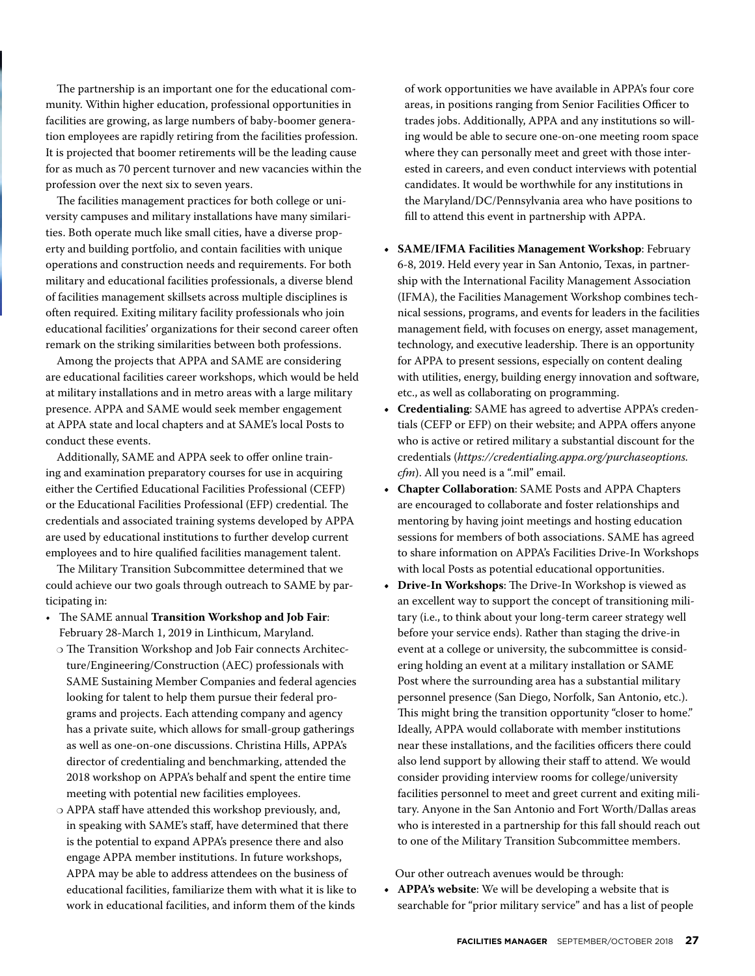The partnership is an important one for the educational community. Within higher education, professional opportunities in facilities are growing, as large numbers of baby-boomer generation employees are rapidly retiring from the facilities profession. It is projected that boomer retirements will be the leading cause for as much as 70 percent turnover and new vacancies within the profession over the next six to seven years.

The facilities management practices for both college or university campuses and military installations have many similarities. Both operate much like small cities, have a diverse property and building portfolio, and contain facilities with unique operations and construction needs and requirements. For both military and educational facilities professionals, a diverse blend of facilities management skillsets across multiple disciplines is often required. Exiting military facility professionals who join educational facilities' organizations for their second career often remark on the striking similarities between both professions.

Among the projects that APPA and SAME are considering are educational facilities career workshops, which would be held at military installations and in metro areas with a large military presence. APPA and SAME would seek member engagement at APPA state and local chapters and at SAME's local Posts to conduct these events.

Additionally, SAME and APPA seek to offer online training and examination preparatory courses for use in acquiring either the Certified Educational Facilities Professional (CEFP) or the Educational Facilities Professional (EFP) credential. The credentials and associated training systems developed by APPA are used by educational institutions to further develop current employees and to hire qualified facilities management talent.

The Military Transition Subcommittee determined that we could achieve our two goals through outreach to SAME by participating in:

- The SAME annual **Transition Workshop and Job Fair**: February 28-March 1, 2019 in Linthicum, Maryland.
- ❍ The Transition Workshop and Job Fair connects Architecture/Engineering/Construction (AEC) professionals with SAME Sustaining Member Companies and federal agencies looking for talent to help them pursue their federal programs and projects. Each attending company and agency has a private suite, which allows for small-group gatherings as well as one-on-one discussions. Christina Hills, APPA's director of credentialing and benchmarking, attended the 2018 workshop on APPA's behalf and spent the entire time meeting with potential new facilities employees.
- ❍ APPA staff have attended this workshop previously, and, in speaking with SAME's staff, have determined that there is the potential to expand APPA's presence there and also engage APPA member institutions. In future workshops, APPA may be able to address attendees on the business of educational facilities, familiarize them with what it is like to work in educational facilities, and inform them of the kinds

of work opportunities we have available in APPA's four core areas, in positions ranging from Senior Facilities Officer to trades jobs. Additionally, APPA and any institutions so willing would be able to secure one-on-one meeting room space where they can personally meet and greet with those interested in careers, and even conduct interviews with potential candidates. It would be worthwhile for any institutions in the Maryland/DC/Pennsylvania area who have positions to fill to attend this event in partnership with APPA.

- **• SAME/IFMA Facilities Management Workshop**: February 6-8, 2019. Held every year in San Antonio, Texas, in partnership with the International Facility Management Association (IFMA), the Facilities Management Workshop combines technical sessions, programs, and events for leaders in the facilities management field, with focuses on energy, asset management, technology, and executive leadership. There is an opportunity for APPA to present sessions, especially on content dealing with utilities, energy, building energy innovation and software, etc., as well as collaborating on programming.
- **• Credentialing**: SAME has agreed to advertise APPA's credentials (CEFP or EFP) on their website; and APPA offers anyone who is active or retired military a substantial discount for the credentials (*https://credentialing.appa.org/purchaseoptions. cfm*). All you need is a ".mil" email.
- **• Chapter Collaboration**: SAME Posts and APPA Chapters are encouraged to collaborate and foster relationships and mentoring by having joint meetings and hosting education sessions for members of both associations. SAME has agreed to share information on APPA's Facilities Drive-In Workshops with local Posts as potential educational opportunities.
- **• Drive-In Workshops**: The Drive-In Workshop is viewed as an excellent way to support the concept of transitioning military (i.e., to think about your long-term career strategy well before your service ends). Rather than staging the drive-in event at a college or university, the subcommittee is considering holding an event at a military installation or SAME Post where the surrounding area has a substantial military personnel presence (San Diego, Norfolk, San Antonio, etc.). This might bring the transition opportunity "closer to home." Ideally, APPA would collaborate with member institutions near these installations, and the facilities officers there could also lend support by allowing their staff to attend. We would consider providing interview rooms for college/university facilities personnel to meet and greet current and exiting military. Anyone in the San Antonio and Fort Worth/Dallas areas who is interested in a partnership for this fall should reach out to one of the Military Transition Subcommittee members.

Our other outreach avenues would be through:

**• APPA's website**: We will be developing a website that is searchable for "prior military service" and has a list of people